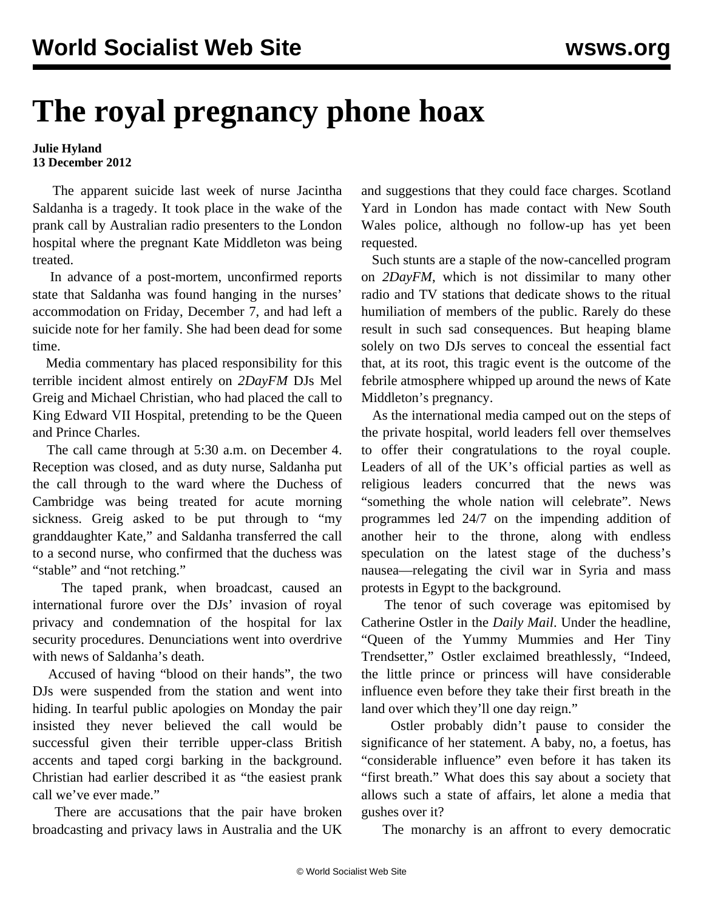## **The royal pregnancy phone hoax**

## **Julie Hyland 13 December 2012**

 The apparent suicide last week of nurse Jacintha Saldanha is a tragedy. It took place in the wake of the prank call by Australian radio presenters to the London hospital where the pregnant Kate Middleton was being treated.

 In advance of a post-mortem, unconfirmed reports state that Saldanha was found hanging in the nurses' accommodation on Friday, December 7, and had left a suicide note for her family. She had been dead for some time.

 Media commentary has placed responsibility for this terrible incident almost entirely on *2DayFM* DJs Mel Greig and Michael Christian, who had placed the call to King Edward VII Hospital, pretending to be the Queen and Prince Charles.

 The call came through at 5:30 a.m. on December 4. Reception was closed, and as duty nurse, Saldanha put the call through to the ward where the Duchess of Cambridge was being treated for acute morning sickness. Greig asked to be put through to "my granddaughter Kate," and Saldanha transferred the call to a second nurse, who confirmed that the duchess was "stable" and "not retching."

 The taped prank, when broadcast, caused an international furore over the DJs' invasion of royal privacy and condemnation of the hospital for lax security procedures. Denunciations went into overdrive with news of Saldanha's death.

 Accused of having "blood on their hands", the two DJs were suspended from the station and went into hiding. In tearful public apologies on Monday the pair insisted they never believed the call would be successful given their terrible upper-class British accents and taped corgi barking in the background. Christian had earlier described it as "the easiest prank call we've ever made."

 There are accusations that the pair have broken broadcasting and privacy laws in Australia and the UK and suggestions that they could face charges. Scotland Yard in London has made contact with New South Wales police, although no follow-up has yet been requested.

 Such stunts are a staple of the now-cancelled program on *2DayFM*, which is not dissimilar to many other radio and TV stations that dedicate shows to the ritual humiliation of members of the public. Rarely do these result in such sad consequences. But heaping blame solely on two DJs serves to conceal the essential fact that, at its root, this tragic event is the outcome of the febrile atmosphere whipped up around the news of Kate Middleton's pregnancy.

 As the international media camped out on the steps of the private hospital, world leaders fell over themselves to offer their congratulations to the royal couple. Leaders of all of the UK's official parties as well as religious leaders concurred that the news was "something the whole nation will celebrate". News programmes led 24/7 on the impending addition of another heir to the throne, along with endless speculation on the latest stage of the duchess's nausea—relegating the civil war in Syria and mass protests in Egypt to the background.

 The tenor of such coverage was epitomised by Catherine Ostler in the *Daily Mail*. Under the headline, "Queen of the Yummy Mummies and Her Tiny Trendsetter," Ostler exclaimed breathlessly, "Indeed, the little prince or princess will have considerable influence even before they take their first breath in the land over which they'll one day reign."

 Ostler probably didn't pause to consider the significance of her statement. A baby, no, a foetus, has "considerable influence" even before it has taken its "first breath." What does this say about a society that allows such a state of affairs, let alone a media that gushes over it?

The monarchy is an affront to every democratic